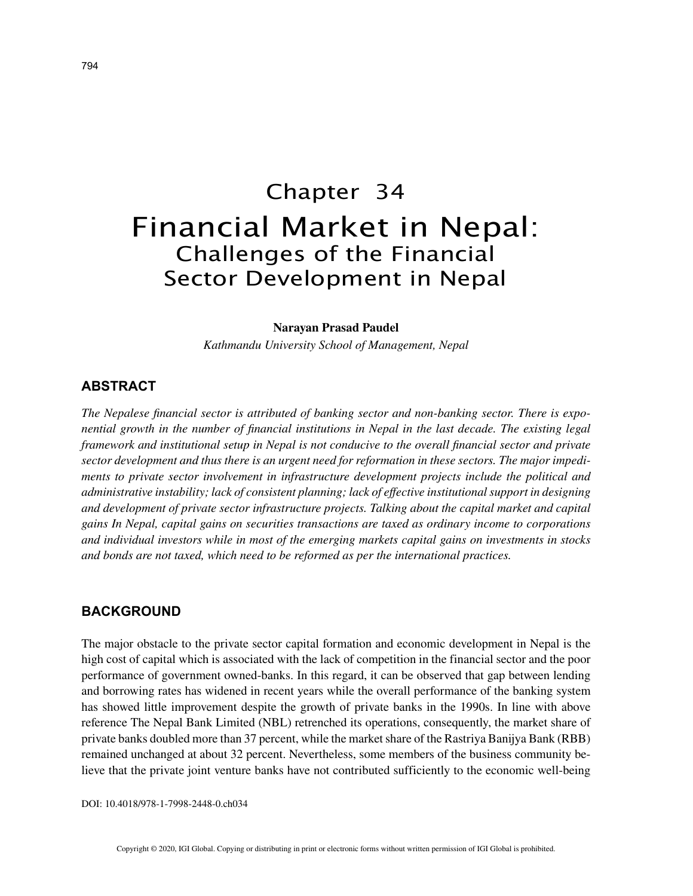# Chapter 34 Financial Market in Nepal: Challenges of the Financial Sector Development in Nepal

#### **Narayan Prasad Paudel**

*Kathmandu University School of Management, Nepal*

# **ABSTRACT**

*The Nepalese financial sector is attributed of banking sector and non-banking sector. There is exponential growth in the number of financial institutions in Nepal in the last decade. The existing legal framework and institutional setup in Nepal is not conducive to the overall financial sector and private sector development and thus there is an urgent need for reformation in these sectors. The major impediments to private sector involvement in infrastructure development projects include the political and administrative instability; lack of consistent planning; lack of effective institutional support in designing and development of private sector infrastructure projects. Talking about the capital market and capital gains In Nepal, capital gains on securities transactions are taxed as ordinary income to corporations and individual investors while in most of the emerging markets capital gains on investments in stocks and bonds are not taxed, which need to be reformed as per the international practices.*

## **BACKGROUND**

The major obstacle to the private sector capital formation and economic development in Nepal is the high cost of capital which is associated with the lack of competition in the financial sector and the poor performance of government owned-banks. In this regard, it can be observed that gap between lending and borrowing rates has widened in recent years while the overall performance of the banking system has showed little improvement despite the growth of private banks in the 1990s. In line with above reference The Nepal Bank Limited (NBL) retrenched its operations, consequently, the market share of private banks doubled more than 37 percent, while the market share of the Rastriya Banijya Bank (RBB) remained unchanged at about 32 percent. Nevertheless, some members of the business community believe that the private joint venture banks have not contributed sufficiently to the economic well-being

DOI: 10.4018/978-1-7998-2448-0.ch034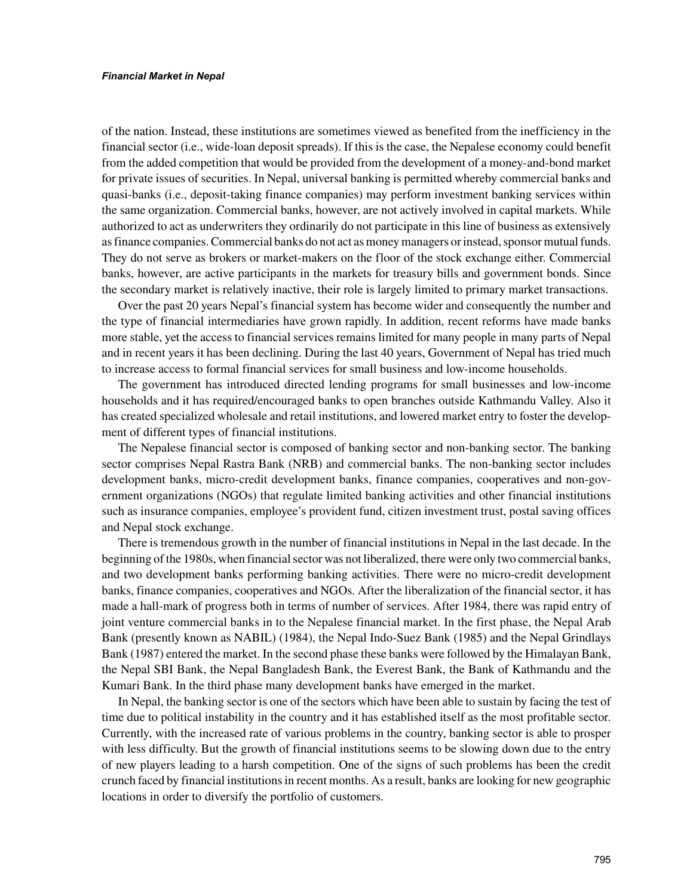of the nation. Instead, these institutions are sometimes viewed as benefited from the inefficiency in the financial sector (i.e., wide-loan deposit spreads). If this is the case, the Nepalese economy could benefit from the added competition that would be provided from the development of a money-and-bond market for private issues of securities. In Nepal, universal banking is permitted whereby commercial banks and quasi-banks (i.e., deposit-taking finance companies) may perform investment banking services within the same organization. Commercial banks, however, are not actively involved in capital markets. While authorized to act as underwriters they ordinarily do not participate in this line of business as extensively as finance companies. Commercial banks do not act as money managers or instead, sponsor mutual funds. They do not serve as brokers or market-makers on the floor of the stock exchange either. Commercial banks, however, are active participants in the markets for treasury bills and government bonds. Since the secondary market is relatively inactive, their role is largely limited to primary market transactions.

Over the past 20 years Nepal's financial system has become wider and consequently the number and the type of financial intermediaries have grown rapidly. In addition, recent reforms have made banks more stable, yet the access to financial services remains limited for many people in many parts of Nepal and in recent years it has been declining. During the last 40 years, Government of Nepal has tried much to increase access to formal financial services for small business and low-income households.

The government has introduced directed lending programs for small businesses and low-income households and it has required/encouraged banks to open branches outside Kathmandu Valley. Also it has created specialized wholesale and retail institutions, and lowered market entry to foster the development of different types of financial institutions.

The Nepalese financial sector is composed of banking sector and non-banking sector. The banking sector comprises Nepal Rastra Bank (NRB) and commercial banks. The non-banking sector includes development banks, micro-credit development banks, finance companies, cooperatives and non-government organizations (NGOs) that regulate limited banking activities and other financial institutions such as insurance companies, employee's provident fund, citizen investment trust, postal saving offices and Nepal stock exchange.

There is tremendous growth in the number of financial institutions in Nepal in the last decade. In the beginning of the 1980s, when financial sector was not liberalized, there were only two commercial banks, and two development banks performing banking activities. There were no micro-credit development banks, finance companies, cooperatives and NGOs. After the liberalization of the financial sector, it has made a hall-mark of progress both in terms of number of services. After 1984, there was rapid entry of joint venture commercial banks in to the Nepalese financial market. In the first phase, the Nepal Arab Bank (presently known as NABIL) (1984), the Nepal Indo-Suez Bank (1985) and the Nepal Grindlays Bank (1987) entered the market. In the second phase these banks were followed by the Himalayan Bank, the Nepal SBI Bank, the Nepal Bangladesh Bank, the Everest Bank, the Bank of Kathmandu and the Kumari Bank. In the third phase many development banks have emerged in the market.

In Nepal, the banking sector is one of the sectors which have been able to sustain by facing the test of time due to political instability in the country and it has established itself as the most profitable sector. Currently, with the increased rate of various problems in the country, banking sector is able to prosper with less difficulty. But the growth of financial institutions seems to be slowing down due to the entry of new players leading to a harsh competition. One of the signs of such problems has been the credit crunch faced by financial institutions in recent months. As a result, banks are looking for new geographic locations in order to diversify the portfolio of customers.